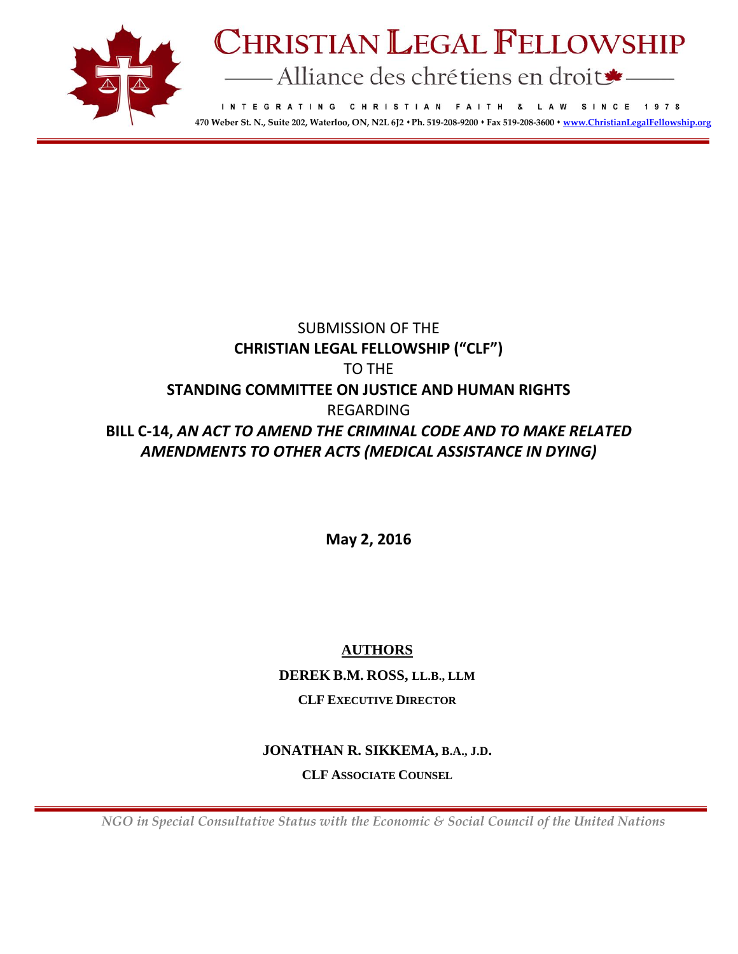

# **CHRISTIAN LEGAL FELLOWSHIP** - Alliance des chrétiens en droit

INTEGRATING CHRISTIAN FAITH & LAW SINCE 1978 **470 Weber St. N., Suite 202, Waterloo, ON, N2L 6J2 Ph. 519-208-9200 Fax 519-208-3600 [www.ChristianLegalFellowship.org](http://www.christianlegalfellowship.org/)**

# SUBMISSION OF THE **CHRISTIAN LEGAL FELLOWSHIP ("CLF")** TO THE **STANDING COMMITTEE ON JUSTICE AND HUMAN RIGHTS** REGARDING **BILL C-14,** *AN ACT TO AMEND THE CRIMINAL CODE AND TO MAKE RELATED AMENDMENTS TO OTHER ACTS (MEDICAL ASSISTANCE IN DYING)*

**May 2, 2016**

# **AUTHORS**

**DEREK B.M. ROSS, LL.B., LLM**

# **CLF EXECUTIVE DIRECTOR**

# **JONATHAN R. SIKKEMA, B.A., J.D.**

**CLF ASSOCIATE COUNSEL**

 *NGO in Special Consultative Status with the Economic & Social Council of the United Nations*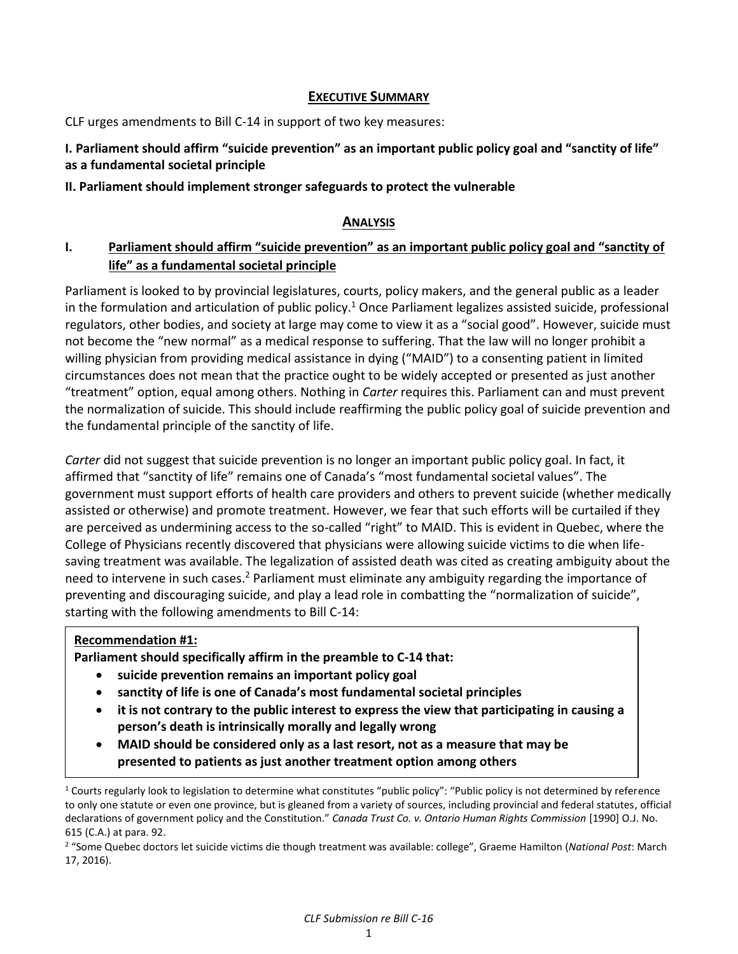### **EXECUTIVE SUMMARY**

CLF urges amendments to Bill C-14 in support of two key measures:

# **I. Parliament should affirm "suicide prevention" as an important public policy goal and "sanctity of life" as a fundamental societal principle**

# **II. Parliament should implement stronger safeguards to protect the vulnerable**

### **ANALYSIS**

# **I. Parliament should affirm "suicide prevention" as an important public policy goal and "sanctity of life" as a fundamental societal principle**

Parliament is looked to by provincial legislatures, courts, policy makers, and the general public as a leader in the formulation and articulation of public policy.<sup>1</sup> Once Parliament legalizes assisted suicide, professional regulators, other bodies, and society at large may come to view it as a "social good". However, suicide must not become the "new normal" as a medical response to suffering. That the law will no longer prohibit a willing physician from providing medical assistance in dying ("MAID") to a consenting patient in limited circumstances does not mean that the practice ought to be widely accepted or presented as just another "treatment" option, equal among others. Nothing in *Carter* requires this. Parliament can and must prevent the normalization of suicide. This should include reaffirming the public policy goal of suicide prevention and the fundamental principle of the sanctity of life.

*Carter* did not suggest that suicide prevention is no longer an important public policy goal. In fact, it affirmed that "sanctity of life" remains one of Canada's "most fundamental societal values". The government must support efforts of health care providers and others to prevent suicide (whether medically assisted or otherwise) and promote treatment. However, we fear that such efforts will be curtailed if they are perceived as undermining access to the so-called "right" to MAID. This is evident in Quebec, where the College of Physicians recently discovered that physicians were allowing suicide victims to die when lifesaving treatment was available. The legalization of assisted death was cited as creating ambiguity about the need to intervene in such cases.<sup>2</sup> Parliament must eliminate any ambiguity regarding the importance of preventing and discouraging suicide, and play a lead role in combatting the "normalization of suicide", starting with the following amendments to Bill C-14:

# **Recommendation #1:**

 $\overline{\phantom{a}}$ 

**Parliament should specifically affirm in the preamble to C-14 that:**

- **suicide prevention remains an important policy goal**
- **sanctity of life is one of Canada's most fundamental societal principles**
- **it is not contrary to the public interest to express the view that participating in causing a person's death is intrinsically morally and legally wrong**
- **MAID should be considered only as a last resort, not as a measure that may be presented to patients as just another treatment option among others**

 $1$  Courts regularly look to legislation to determine what constitutes "public policy": "Public policy is not determined by reference to only one statute or even one province, but is gleaned from a variety of sources, including provincial and federal statutes, official declarations of government policy and the Constitution." *Canada Trust Co. v. Ontario Human Rights Commission* [1990] O.J. No. 615 (C.A.) at para. 92.

<sup>2</sup> "Some Quebec doctors let suicide victims die though treatment was available: college", Graeme Hamilton (*National Post*: March 17, 2016).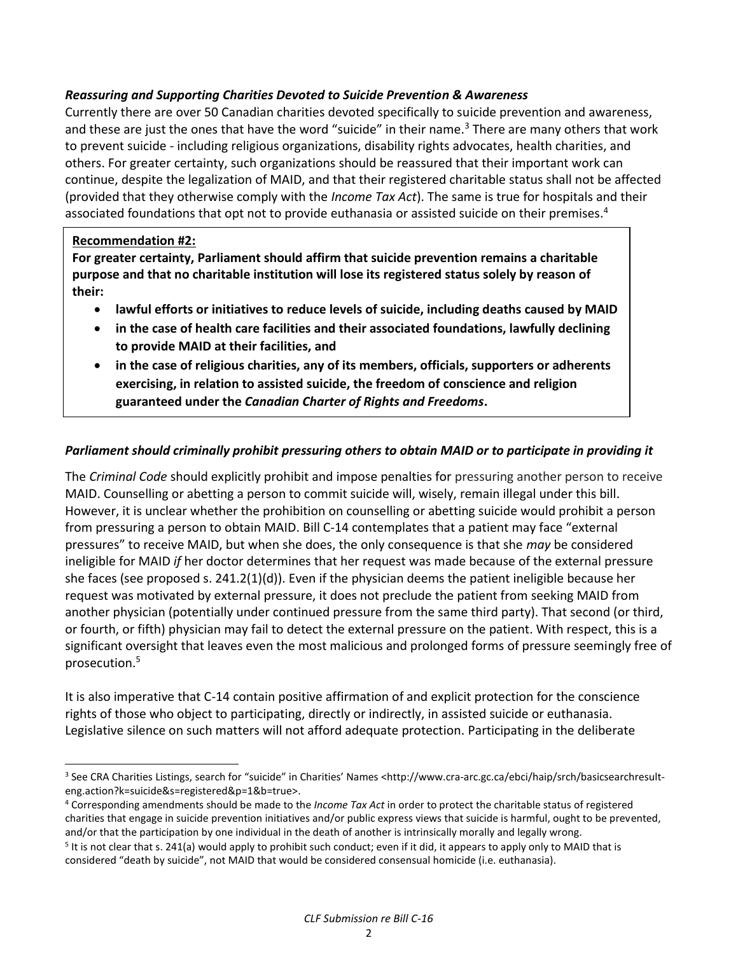# *Reassuring and Supporting Charities Devoted to Suicide Prevention & Awareness*

Currently there are over 50 Canadian charities devoted specifically to suicide prevention and awareness, and these are just the ones that have the word "suicide" in their name.<sup>3</sup> There are many others that work to prevent suicide - including religious organizations, disability rights advocates, health charities, and others. For greater certainty, such organizations should be reassured that their important work can continue, despite the legalization of MAID, and that their registered charitable status shall not be affected (provided that they otherwise comply with the *Income Tax Act*). The same is true for hospitals and their associated foundations that opt not to provide euthanasia or assisted suicide on their premises.<sup>4</sup>

# **Recommendation #2:**

 $\overline{a}$ 

**For greater certainty, Parliament should affirm that suicide prevention remains a charitable purpose and that no charitable institution will lose its registered status solely by reason of their:**

- **lawful efforts or initiatives to reduce levels of suicide, including deaths caused by MAID**
- **in the case of health care facilities and their associated foundations, lawfully declining to provide MAID at their facilities, and**
- **in the case of religious charities, any of its members, officials, supporters or adherents exercising, in relation to assisted suicide, the freedom of conscience and religion guaranteed under the** *Canadian Charter of Rights and Freedoms***.**

# *Parliament should criminally prohibit pressuring others to obtain MAID or to participate in providing it*

The *Criminal Code* should explicitly prohibit and impose penalties for pressuring another person to receive MAID. Counselling or abetting a person to commit suicide will, wisely, remain illegal under this bill. However, it is unclear whether the prohibition on counselling or abetting suicide would prohibit a person from pressuring a person to obtain MAID. Bill C-14 contemplates that a patient may face "external pressures" to receive MAID, but when she does, the only consequence is that she *may* be considered ineligible for MAID *if* her doctor determines that her request was made because of the external pressure she faces (see proposed s. 241.2(1)(d)). Even if the physician deems the patient ineligible because her request was motivated by external pressure, it does not preclude the patient from seeking MAID from another physician (potentially under continued pressure from the same third party). That second (or third, or fourth, or fifth) physician may fail to detect the external pressure on the patient. With respect, this is a significant oversight that leaves even the most malicious and prolonged forms of pressure seemingly free of prosecution.<sup>5</sup>

It is also imperative that C-14 contain positive affirmation of and explicit protection for the conscience rights of those who object to participating, directly or indirectly, in assisted suicide or euthanasia. Legislative silence on such matters will not afford adequate protection. Participating in the deliberate

<sup>3</sup> See CRA Charities Listings, search for "suicide" in Charities' Names <http://www.cra-arc.gc.ca/ebci/haip/srch/basicsearchresulteng.action?k=suicide&s=registered&p=1&b=true>.

<sup>4</sup> Corresponding amendments should be made to the *Income Tax Act* in order to protect the charitable status of registered charities that engage in suicide prevention initiatives and/or public express views that suicide is harmful, ought to be prevented, and/or that the participation by one individual in the death of another is intrinsically morally and legally wrong.

<sup>&</sup>lt;sup>5</sup> It is not clear that s. 241(a) would apply to prohibit such conduct; even if it did, it appears to apply only to MAID that is considered "death by suicide", not MAID that would be considered consensual homicide (i.e. euthanasia).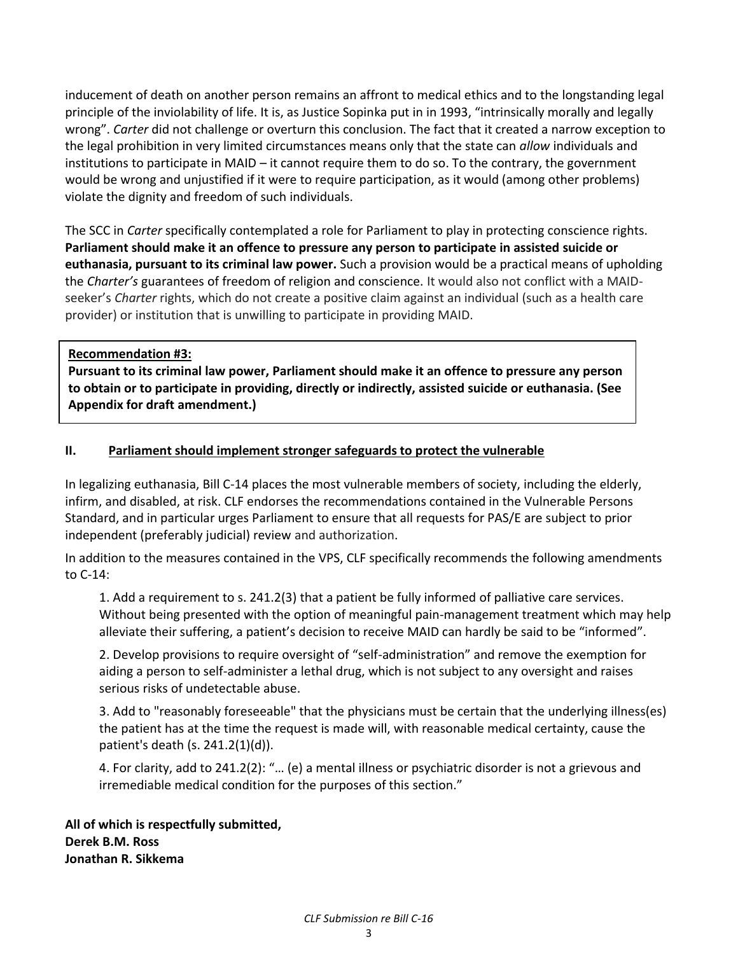inducement of death on another person remains an affront to medical ethics and to the longstanding legal principle of the inviolability of life. It is, as Justice Sopinka put in in 1993, "intrinsically morally and legally wrong". *Carter* did not challenge or overturn this conclusion. The fact that it created a narrow exception to the legal prohibition in very limited circumstances means only that the state can *allow* individuals and institutions to participate in MAID – it cannot require them to do so. To the contrary, the government would be wrong and unjustified if it were to require participation, as it would (among other problems) violate the dignity and freedom of such individuals.

The SCC in *Carter* specifically contemplated a role for Parliament to play in protecting conscience rights. **Parliament should make it an offence to pressure any person to participate in assisted suicide or euthanasia, pursuant to its criminal law power.** Such a provision would be a practical means of upholding the *Charter's* guarantees of freedom of religion and conscience. It would also not conflict with a MAIDseeker's *Charter* rights, which do not create a positive claim against an individual (such as a health care provider) or institution that is unwilling to participate in providing MAID.

**Recommendation #3:** 

**Pursuant to its criminal law power, Parliament should make it an offence to pressure any person to obtain or to participate in providing, directly or indirectly, assisted suicide or euthanasia. (See Appendix for draft amendment.)**

# **II. Parliament should implement stronger safeguards to protect the vulnerable**

In legalizing euthanasia, Bill C-14 places the most vulnerable members of society, including the elderly, infirm, and disabled, at risk. CLF endorses the recommendations contained in the Vulnerable Persons Standard, and in particular urges Parliament to ensure that all requests for PAS/E are subject to prior independent (preferably judicial) review and authorization.

In addition to the measures contained in the VPS, CLF specifically recommends the following amendments to C-14:

1. Add a requirement to s. 241.2(3) that a patient be fully informed of palliative care services. Without being presented with the option of meaningful pain-management treatment which may help alleviate their suffering, a patient's decision to receive MAID can hardly be said to be "informed".

2. Develop provisions to require oversight of "self-administration" and remove the exemption for aiding a person to self-administer a lethal drug, which is not subject to any oversight and raises serious risks of undetectable abuse.

3. Add to "reasonably foreseeable" that the physicians must be certain that the underlying illness(es) the patient has at the time the request is made will, with reasonable medical certainty, cause the patient's death (s. 241.2(1)(d)).

4. For clarity, add to 241.2(2): "… (e) a mental illness or psychiatric disorder is not a grievous and irremediable medical condition for the purposes of this section."

**All of which is respectfully submitted, Derek B.M. Ross Jonathan R. Sikkema**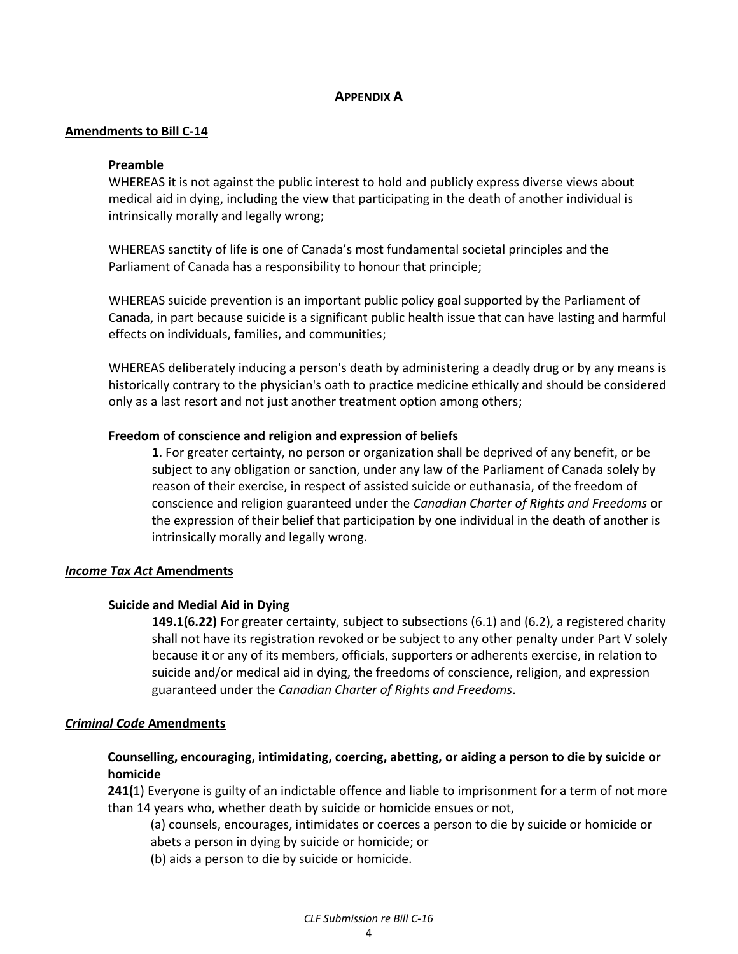#### **APPENDIX A**

#### **Amendments to Bill C-14**

#### **Preamble**

WHEREAS it is not against the public interest to hold and publicly express diverse views about medical aid in dying, including the view that participating in the death of another individual is intrinsically morally and legally wrong;

WHEREAS sanctity of life is one of Canada's most fundamental societal principles and the Parliament of Canada has a responsibility to honour that principle;

WHEREAS suicide prevention is an important public policy goal supported by the Parliament of Canada, in part because suicide is a significant public health issue that can have lasting and harmful effects on individuals, families, and communities;

WHEREAS deliberately inducing a person's death by administering a deadly drug or by any means is historically contrary to the physician's oath to practice medicine ethically and should be considered only as a last resort and not just another treatment option among others;

#### **Freedom of conscience and religion and expression of beliefs**

**1**. For greater certainty, no person or organization shall be deprived of any benefit, or be subject to any obligation or sanction, under any law of the Parliament of Canada solely by reason of their exercise, in respect of assisted suicide or euthanasia, of the freedom of conscience and religion guaranteed under the *Canadian Charter of Rights and Freedoms* or the expression of their belief that participation by one individual in the death of another is intrinsically morally and legally wrong.

#### *Income Tax Act* **Amendments**

#### **Suicide and Medial Aid in Dying**

**149.1(6.22)** For greater certainty, subject to subsections (6.1) and (6.2), a registered charity shall not have its registration revoked or be subject to any other penalty under Part V solely because it or any of its members, officials, supporters or adherents exercise, in relation to suicide and/or medical aid in dying, the freedoms of conscience, religion, and expression guaranteed under the *Canadian Charter of Rights and Freedoms*.

#### *Criminal Code* **Amendments**

#### **Counselling, encouraging, intimidating, coercing, abetting, or aiding a person to die by suicide or homicide**

**241(**1) Everyone is guilty of an indictable offence and liable to imprisonment for a term of not more than 14 years who, whether death by suicide or homicide ensues or not,

(a) counsels, encourages, intimidates or coerces a person to die by suicide or homicide or abets a person in dying by suicide or homicide; or

(b) aids a person to die by suicide or homicide.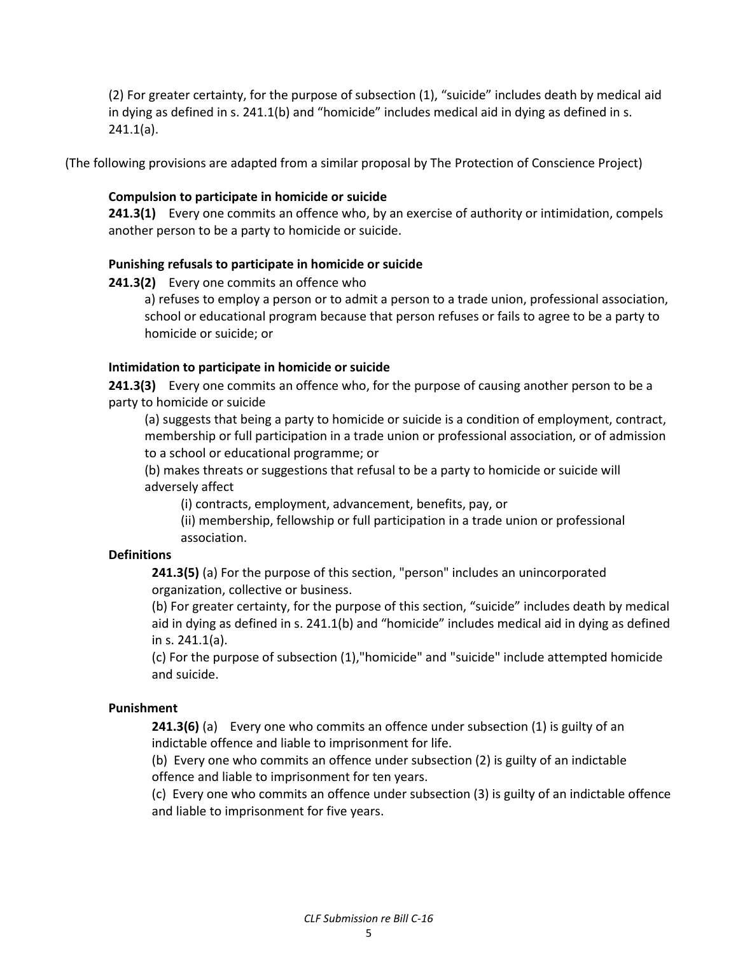(2) For greater certainty, for the purpose of subsection (1), "suicide" includes death by medical aid in dying as defined in s. 241.1(b) and "homicide" includes medical aid in dying as defined in s. 241.1(a).

(The following provisions are adapted from a similar proposal by The Protection of Conscience Project)

# **Compulsion to participate in homicide or suicide**

**241.3(1)** Every one commits an offence who, by an exercise of authority or intimidation, compels another person to be a party to homicide or suicide.

# **Punishing refusals to participate in homicide or suicide**

**241.3(2)** Every one commits an offence who

a) refuses to employ a person or to admit a person to a trade union, professional association, school or educational program because that person refuses or fails to agree to be a party to homicide or suicide; or

#### **Intimidation to participate in homicide or suicide**

**241.3(3)** Every one commits an offence who, for the purpose of causing another person to be a party to homicide or suicide

(a) suggests that being a party to homicide or suicide is a condition of employment, contract, membership or full participation in a trade union or professional association, or of admission to a school or educational programme; or

(b) makes threats or suggestions that refusal to be a party to homicide or suicide will adversely affect

(i) contracts, employment, advancement, benefits, pay, or

(ii) membership, fellowship or full participation in a trade union or professional association.

# **Definitions**

**241.3(5)** (a) For the purpose of this section, "person" includes an unincorporated organization, collective or business.

(b) For greater certainty, for the purpose of this section, "suicide" includes death by medical aid in dying as defined in s. 241.1(b) and "homicide" includes medical aid in dying as defined in s. 241.1(a).

(c) For the purpose of subsection (1),"homicide" and "suicide" include attempted homicide and suicide.

# **Punishment**

**241.3(6)** (a) Every one who commits an offence under subsection (1) is guilty of an indictable offence and liable to imprisonment for life.

(b) Every one who commits an offence under subsection (2) is guilty of an indictable offence and liable to imprisonment for ten years.

(c) Every one who commits an offence under subsection (3) is guilty of an indictable offence and liable to imprisonment for five years.